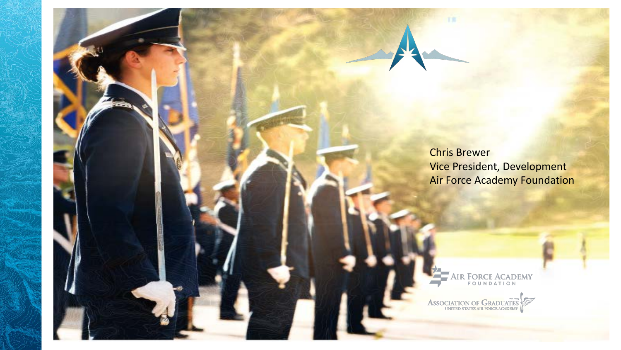Chris Brewer Vice President, Development Air Force Academy Foundation

CAMPAIGN BRIEFING

**AIR FORCE ACADEMY** 

ASSOCIATION OF GRADUATES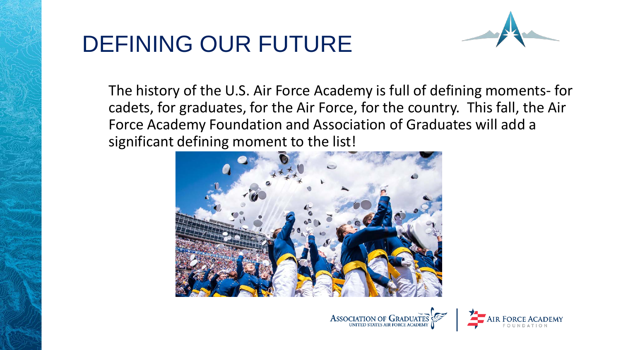## DEFINING OUR FUTURE



The history of the U.S. Air Force Academy is full of defining moments- for cadets, for graduates, for the Air Force, for the country. This fall, the Air Force Academy Foundation and Association of Graduates will add a significant defining moment to the list!





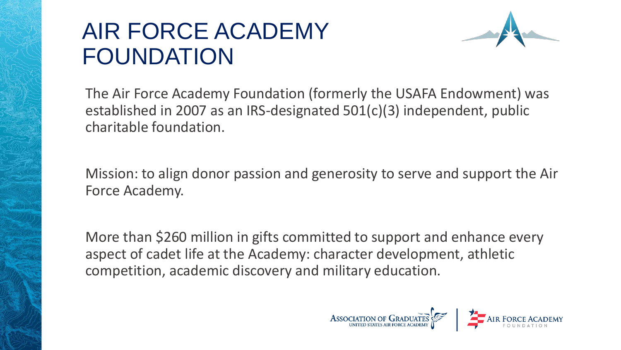## AIR FORCE ACADEMY FOUNDATION



The Air Force Academy Foundation (formerly the USAFA Endowment) was established in 2007 as an IRS-designated 501(c)(3) independent, public charitable foundation.

Mission: to align donor passion and generosity to serve and support the Air Force Academy.

More than \$260 million in gifts committed to support and enhance every aspect of cadet life at the Academy: character development, athletic competition, academic discovery and military education.

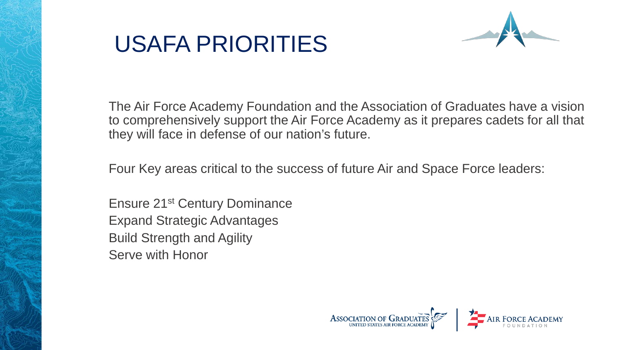## USAFA PRIORITIES



The Air Force Academy Foundation and the Association of Graduates have a vision to comprehensively support the Air Force Academy as it prepares cadets for all that they will face in defense of our nation's future.

Four Key areas critical to the success of future Air and Space Force leaders:

Ensure 21st Century Dominance Expand Strategic Advantages Build Strength and Agility Serve with Honor

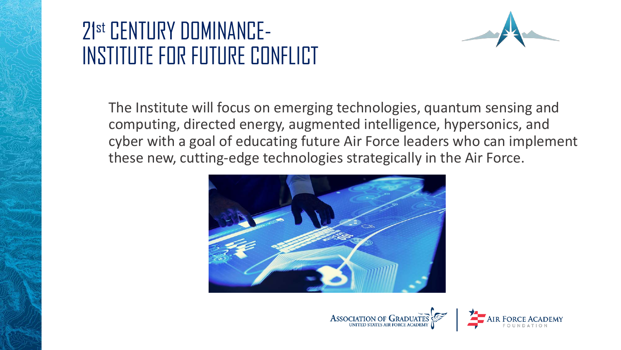## 21st CENTURY DOMINANCE-INSTITUTE FOR FUTURE CONFLICT



The Institute will focus on emerging technologies, quantum sensing and computing, directed energy, augmented intelligence, hypersonics, and cyber with a goal of educating future Air Force leaders who can implement these new, cutting-edge technologies strategically in the Air Force.





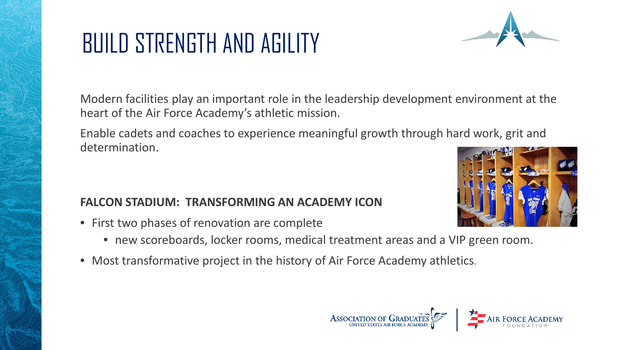# BUILD STRENGTH AND AGILITY

Modern facilities play an important role in the leadership development environment at the heart of the Air Force Academy's athletic mission.

Enable cadets and coaches to experience meaningful growth through hard work, grit and determination.

#### **FALCON STADIUM: TRANSFORMING AN ACADEMY ICON**

- First two phases of renovation are complete
	- new scoreboards, locker rooms, medical treatment areas and a VIP green room.
- Most transformative project in the history of Air Force Academy athletics.



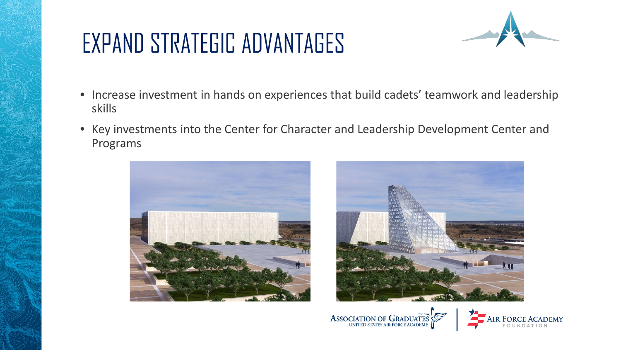## EXPAND STRATEGIC ADVANTAGES



- Increase investment in hands on experiences that build cadets' teamwork and leadership skills
- Key investments into the Center for Character and Leadership Development Center and Programs







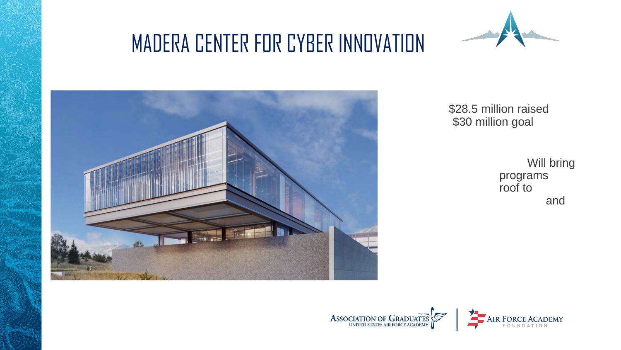## MADERA CENTER FOR CYBER INNOVATION





\$28.5 million raised \$30 million goal

> Will bring programs<br>roof to

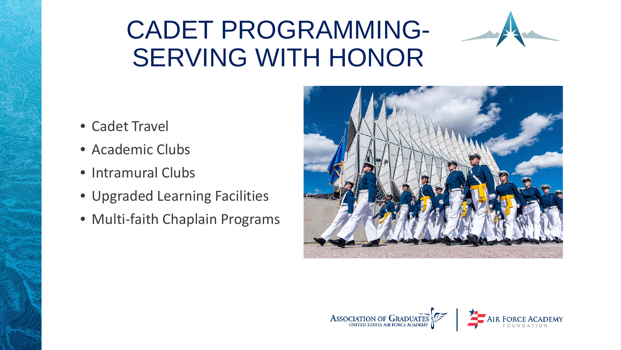## CADET PROGRAMMING-SERVING WITH HONOR



- Cadet Travel
- Academic Clubs
- Intramural Clubs
- Upgraded Learning Facilities
- Multi-faith Chaplain Programs



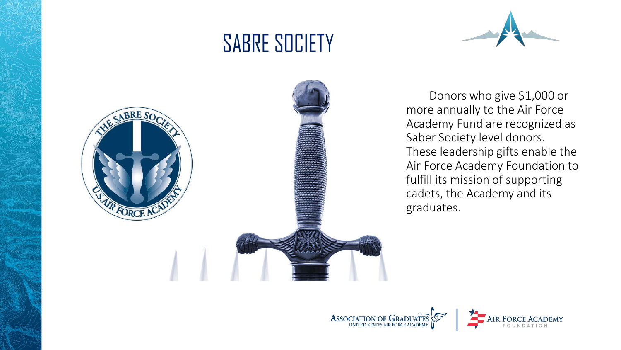## SABRE SOCIETY





Donors who give \$1,000 or more annually to the Air Force Academy Fund are recognized as Saber Society level donors. These leadership gifts enable the Air Force Academy Foundation to fulfill its mission of supporting cadets, the Academy and its graduates.